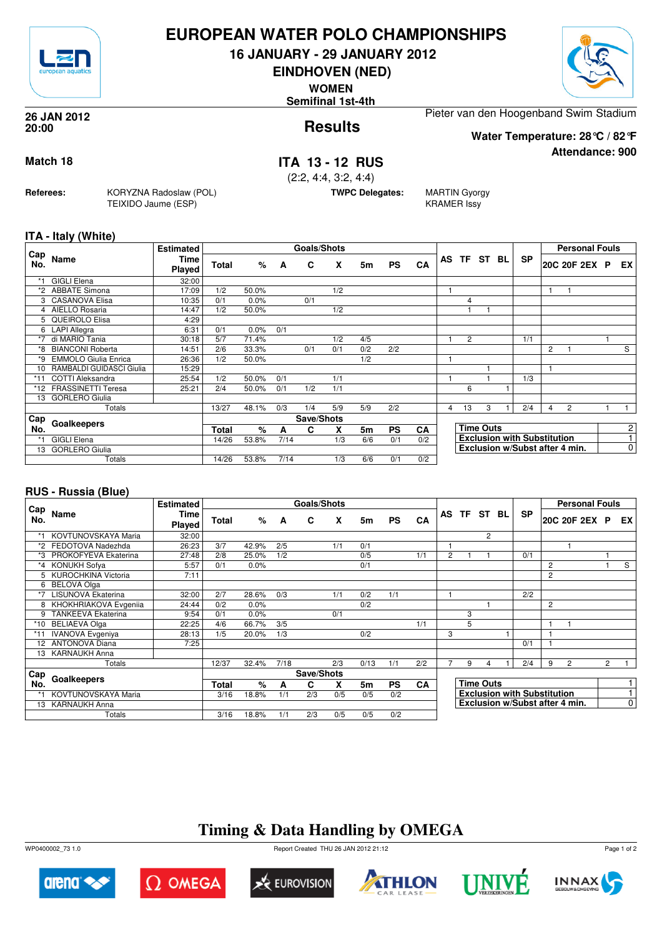

### **EUROPEAN WATER POLO CHAMPIONSHIPS**

**16 JANUARY - 29 JANUARY 2012**

**EINDHOVEN (NED)**

**WOMEN**

**Semifinal 1st-4th**



**Attendance: 900**

**Results 26 JAN 2012 20:00**

Pieter van den Hoogenband Swim Stadium

**Water Temperature: 28°C / 82°F**

#### **Match 18 ITA 13 - 12 RUS**

(2:2, 4:4, 3:2, 4:4)

**TWPC Delegates:** MARTIN Gyorgy

KRAMER Issy

**ITA - Italy (White)**

**Referees:** KORYZNA Radoslaw (POL)

TEIXIDO Jaume (ESP)

|            |                             | <b>Estimated</b> |              |       |      | Goals/Shots |     |     |           |           |   |                |                  |                                    |                | <b>Personal Fouls</b>          |                |
|------------|-----------------------------|------------------|--------------|-------|------|-------------|-----|-----|-----------|-----------|---|----------------|------------------|------------------------------------|----------------|--------------------------------|----------------|
| Cap<br>No. | Name                        | Time<br>Played   | Total        | %     | A    | C           | X   | 5m  | <b>PS</b> | CA        |   | AS TF ST BL    |                  | <b>SP</b>                          |                | 20C 20F 2EX P                  | EX I           |
|            | <b>GIGLI Elena</b>          | 32:00            |              |       |      |             |     |     |           |           |   |                |                  |                                    |                |                                |                |
| *2         | <b>ABBATE Simona</b>        | 17:09            | 1/2          | 50.0% |      |             | 1/2 |     |           |           |   |                |                  |                                    | 1              |                                |                |
| 3          | CASANOVA Elisa              | 10:35            | 0/1          | 0.0%  |      | 0/1         |     |     |           |           |   | 4              |                  |                                    |                |                                |                |
| 4          | AIELLO Rosaria              | 14:47            | 1/2          | 50.0% |      |             | 1/2 |     |           |           |   |                |                  |                                    |                |                                |                |
| 5          | QUEIROLO Elisa              | 4:29             |              |       |      |             |     |     |           |           |   |                |                  |                                    |                |                                |                |
|            | 6 LAPI Allegra              | 6:31             | 0/1          | 0.0%  | 0/1  |             |     |     |           |           |   |                |                  |                                    |                |                                |                |
| $*7$       | di MARIO Tania              | 30:18            | 5/7          | 71.4% |      |             | 1/2 | 4/5 |           |           |   | $\overline{2}$ |                  | 1/1                                |                |                                |                |
| *8         | <b>BIANCONI Roberta</b>     | 14:51            | 2/6          | 33.3% |      | 0/1         | 0/1 | 0/2 | 2/2       |           |   |                |                  |                                    | 2              |                                | S              |
| *9         | <b>EMMOLO Giulia Enrica</b> | 26:36            | 1/2          | 50.0% |      |             |     | 1/2 |           |           |   |                |                  |                                    |                |                                |                |
| 10         | RAMBALDI GUIDASCI Giulia    | 15:29            |              |       |      |             |     |     |           |           |   |                |                  |                                    | 1              |                                |                |
| $*11$      | <b>COTTI Aleksandra</b>     | 25:54            | 1/2          | 50.0% | 0/1  |             | 1/1 |     |           |           |   |                |                  | 1/3                                |                |                                |                |
| $*12$      | <b>FRASSINETTI Teresa</b>   | 25:21            | 2/4          | 50.0% | 0/1  | 1/2         | 1/1 |     |           |           |   | 6              |                  |                                    |                |                                |                |
| 13         | <b>GORLERO Giulia</b>       |                  |              |       |      |             |     |     |           |           |   |                |                  |                                    |                |                                |                |
|            | Totals                      |                  | 13/27        | 48.1% | 0/3  | 1/4         | 5/9 | 5/9 | 2/2       |           | 4 | 13             | 3                | 2/4                                | $\overline{4}$ | 2                              |                |
| Cap        |                             |                  |              |       |      | Save/Shots  |     |     |           |           |   |                |                  |                                    |                |                                |                |
| No.        | Goalkeepers                 |                  | <b>Total</b> | %     | A    | C           | X   | 5m  | <b>PS</b> | <b>CA</b> |   |                | <b>Time Outs</b> |                                    |                |                                | 2 <sup>1</sup> |
| *1         | <b>GIGLI Elena</b>          |                  | 14/26        | 53.8% | 7/14 |             | 1/3 | 6/6 | 0/1       | 0/2       |   |                |                  | <b>Exclusion with Substitution</b> |                |                                | $\overline{1}$ |
| 13         | <b>GORLERO Giulia</b>       |                  |              |       |      |             |     |     |           |           |   |                |                  |                                    |                | Exclusion w/Subst after 4 min. | $\overline{0}$ |
|            | Totals                      |                  | 14/26        | 53.8% | 7/14 |             | 1/3 | 6/6 | 0/1       | 0/2       |   |                |                  |                                    |                |                                |                |

#### **RUS - Russia (Blue)**

|                 |                           | <b>Estimated</b>      |       |       |      | Goals/Shots |     |      |           |           |    |     |                  |    |                                    |   | <b>Personal Fouls</b>          |                |                |
|-----------------|---------------------------|-----------------------|-------|-------|------|-------------|-----|------|-----------|-----------|----|-----|------------------|----|------------------------------------|---|--------------------------------|----------------|----------------|
| Cap<br>No.      | Name                      | Time<br><b>Played</b> | Total | $\%$  | A    | C           | X   | 5m   | <b>PS</b> | CA        | AS | TF. | ST               | BL | <b>SP</b>                          |   | 20C 20F 2EX P                  |                | EX             |
|                 | KOVTUNOVSKAYA Maria       | 32:00                 |       |       |      |             |     |      |           |           |    |     | $\overline{c}$   |    |                                    |   |                                |                |                |
| *2              | FEDOTOVA Nadezhda         | 26:23                 | 3/7   | 42.9% | 2/5  |             | 1/1 | 0/1  |           |           |    |     |                  |    |                                    |   |                                |                |                |
| *3              | PROKOFYEVA Ekaterina      | 27:48                 | 2/8   | 25.0% | 1/2  |             |     | 0/5  |           | 1/1       | 2  |     |                  |    | 0/1                                |   |                                |                |                |
|                 | KONUKH Sofya              | 5:57                  | 0/1   | 0.0%  |      |             |     | 0/1  |           |           |    |     |                  |    |                                    | 2 |                                |                | S              |
| 5.              | KUROCHKINA Victoria       | 7:11                  |       |       |      |             |     |      |           |           |    |     |                  |    |                                    | 2 |                                |                |                |
| 6               | <b>BELOVA Olga</b>        |                       |       |       |      |             |     |      |           |           |    |     |                  |    |                                    |   |                                |                |                |
| *7              | <b>LISUNOVA Ekaterina</b> | 32:00                 | 2/7   | 28.6% | 0/3  |             | 1/1 | 0/2  | 1/1       |           |    |     |                  |    | 2/2                                |   |                                |                |                |
|                 | 8 KHOKHRIAKOVA Evgenija   | 24:44                 | 0/2   | 0.0%  |      |             |     | 0/2  |           |           |    |     |                  |    |                                    | 2 |                                |                |                |
| 9               | <b>TANKEEVA Ekaterina</b> | 9:54                  | 0/1   | 0.0%  |      |             | 0/1 |      |           |           |    | 3   |                  |    |                                    |   |                                |                |                |
| *10             | <b>BELIAEVA Olga</b>      | 22:25                 | 4/6   | 66.7% | 3/5  |             |     |      |           | 1/1       |    | 5   |                  |    |                                    | 1 |                                |                |                |
|                 | <b>IVANOVA</b> Evgeniya   | 28:13                 | 1/5   | 20.0% | 1/3  |             |     | 0/2  |           |           | 3  |     |                  |    |                                    |   |                                |                |                |
| 12 <sup>2</sup> | <b>ANTONOVA Diana</b>     | 7:25                  |       |       |      |             |     |      |           |           |    |     |                  |    | 0/1                                |   |                                |                |                |
| 13              | <b>KARNAUKH Anna</b>      |                       |       |       |      |             |     |      |           |           |    |     |                  |    |                                    |   |                                |                |                |
|                 | Totals                    |                       | 12/37 | 32.4% | 7/18 |             | 2/3 | 0/13 | 1/1       | 2/2       |    | 9   | 4                |    | 2/4                                | 9 | 2                              | $\overline{2}$ |                |
| Cap             |                           |                       |       |       |      | Save/Shots  |     |      |           |           |    |     |                  |    |                                    |   |                                |                |                |
| No.             | Goalkeepers               |                       | Total | $\%$  | A    | C           | X   | 5m   | <b>PS</b> | <b>CA</b> |    |     | <b>Time Outs</b> |    |                                    |   |                                |                |                |
|                 | KOVTUNOVSKAYA Maria       |                       | 3/16  | 18.8% | 1/1  | 2/3         | 0/5 | 0/5  | 0/2       |           |    |     |                  |    | <b>Exclusion with Substitution</b> |   |                                |                |                |
|                 | 13 KARNAUKH Anna          |                       |       |       |      |             |     |      |           |           |    |     |                  |    |                                    |   | Exclusion w/Subst after 4 min. |                | $\overline{0}$ |
|                 | Totals                    |                       | 3/16  | 18.8% | 1/1  | 2/3         | 0/5 | 0/5  | 0/2       |           |    |     |                  |    |                                    |   |                                |                |                |

# **Timing & Data Handling by OMEGA**

WP0400002\_73 1.0 Report Created THU 26 JAN 2012 21:12













Page 1 of 2